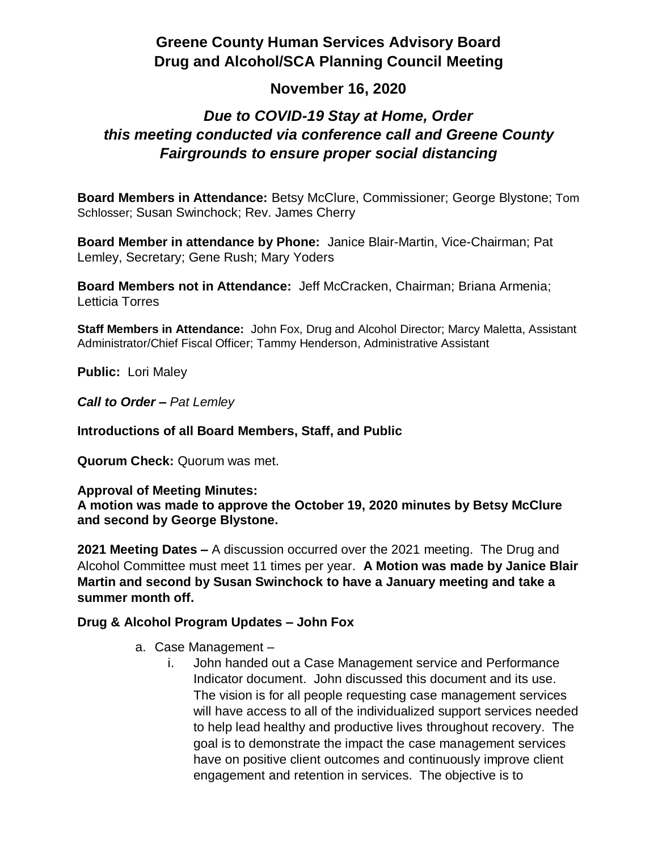# **Greene County Human Services Advisory Board Drug and Alcohol/SCA Planning Council Meeting**

### **November 16, 2020**

# *Due to COVID-19 Stay at Home, Order this meeting conducted via conference call and Greene County Fairgrounds to ensure proper social distancing*

**Board Members in Attendance:** Betsy McClure, Commissioner; George Blystone; Tom Schlosser; Susan Swinchock; Rev. James Cherry

**Board Member in attendance by Phone:** Janice Blair-Martin, Vice-Chairman; Pat Lemley, Secretary; Gene Rush; Mary Yoders

**Board Members not in Attendance:** Jeff McCracken, Chairman; Briana Armenia; Letticia Torres

**Staff Members in Attendance:** John Fox, Drug and Alcohol Director; Marcy Maletta, Assistant Administrator/Chief Fiscal Officer; Tammy Henderson, Administrative Assistant

**Public:** Lori Maley

*Call to Order – Pat Lemley*

**Introductions of all Board Members, Staff, and Public**

**Quorum Check:** Quorum was met.

**Approval of Meeting Minutes:**

**A motion was made to approve the October 19, 2020 minutes by Betsy McClure and second by George Blystone.**

**2021 Meeting Dates –** A discussion occurred over the 2021 meeting. The Drug and Alcohol Committee must meet 11 times per year. **A Motion was made by Janice Blair Martin and second by Susan Swinchock to have a January meeting and take a summer month off.**

#### **Drug & Alcohol Program Updates – John Fox**

- a. Case Management
	- i. John handed out a Case Management service and Performance Indicator document. John discussed this document and its use. The vision is for all people requesting case management services will have access to all of the individualized support services needed to help lead healthy and productive lives throughout recovery. The goal is to demonstrate the impact the case management services have on positive client outcomes and continuously improve client engagement and retention in services. The objective is to